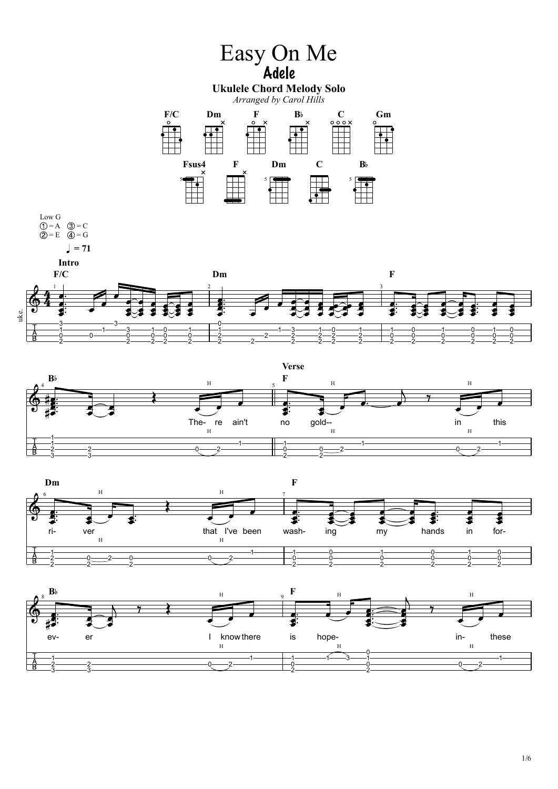







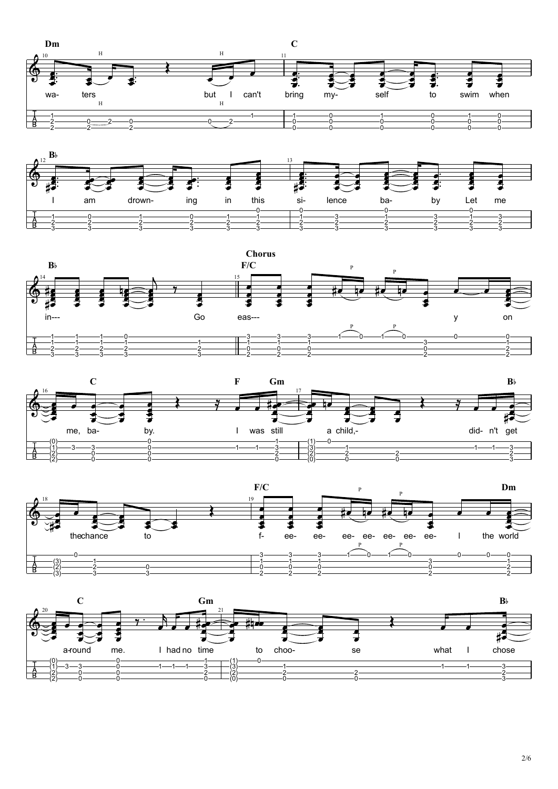









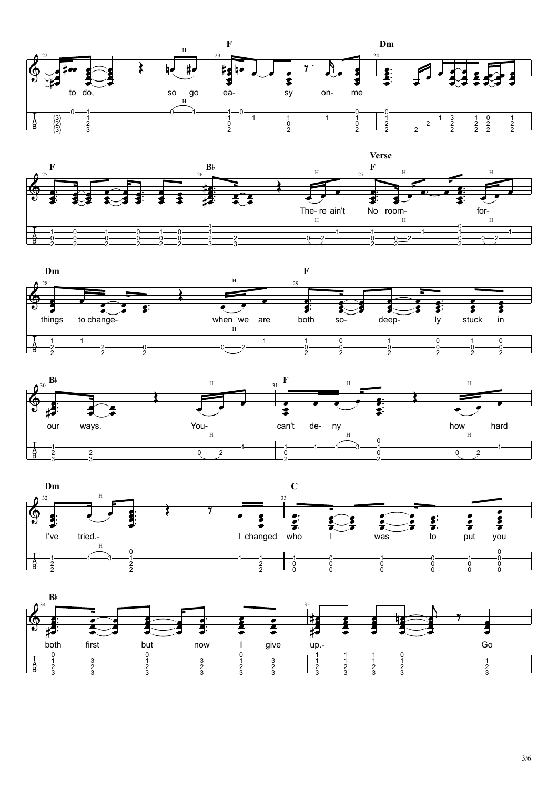









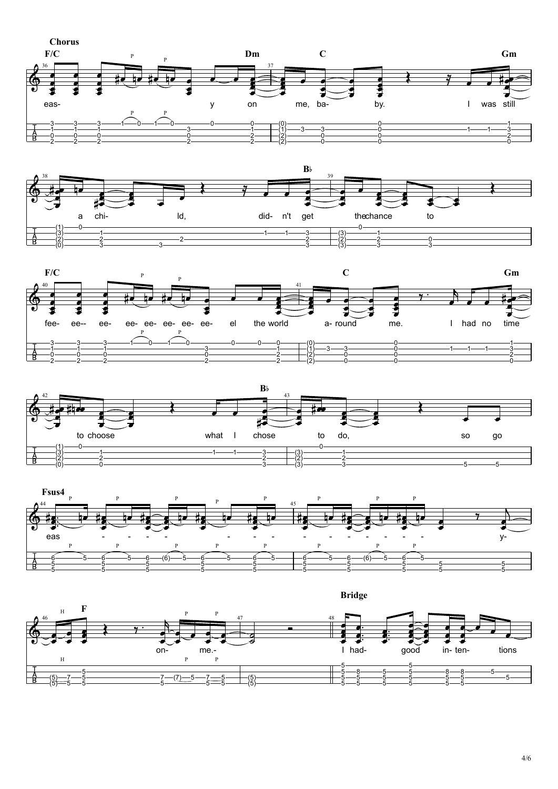











 **Bridge**

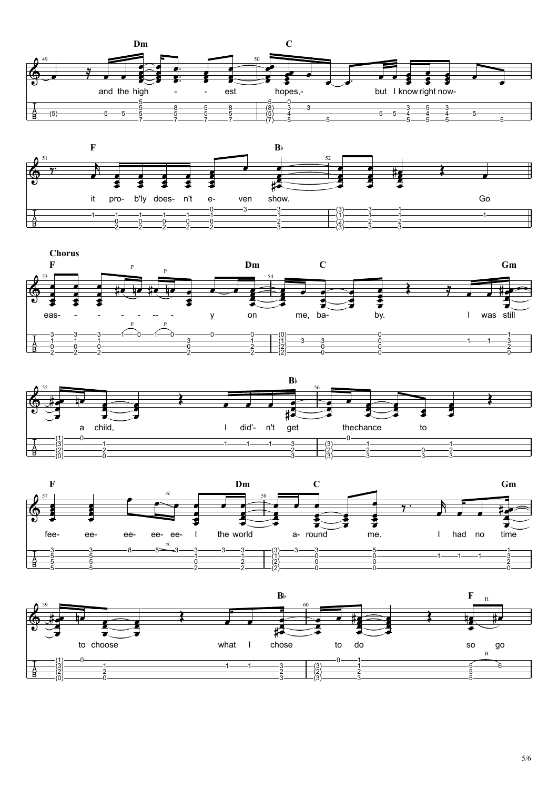